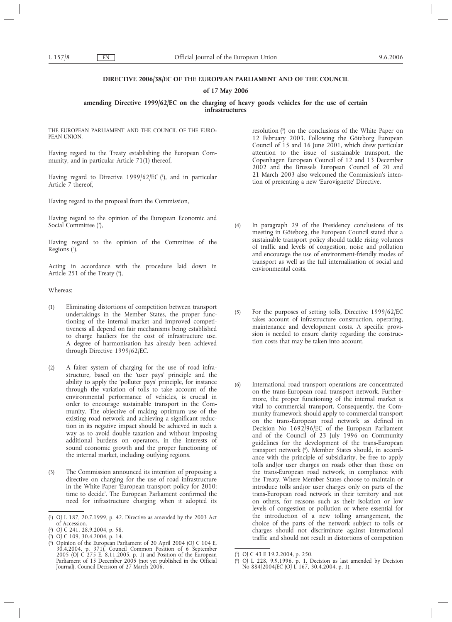## **DIRECTIVE 2006/38/EC OF THE EUROPEAN PARLIAMENT AND OF THE COUNCIL**

### **of 17 May 2006**

## **amending Directive 1999/62/EC on the charging of heavy goods vehicles for the use of certain infrastructures**

THE EUROPEAN PARLIAMENT AND THE COUNCIL OF THE EURO-PEAN UNION

Having regard to the Treaty establishing the European Community, and in particular Article 71(1) thereof,

Having regard to Directive 1999/62/EC (1), and in particular Article 7 thereof,

Having regard to the proposal from the Commission,

Having regard to the opinion of the European Economic and Social Committee (2),

Having regard to the opinion of the Committee of the Regions (3),

Acting in accordance with the procedure laid down in Article 251 of the Treaty (4),

Whereas:

- (1) Eliminating distortions of competition between transport undertakings in the Member States, the proper functioning of the internal market and improved competitiveness all depend on fair mechanisms being established to charge hauliers for the cost of infrastructure use. A degree of harmonisation has already been achieved through Directive 1999/62/EC.
- (2) A fairer system of charging for the use of road infrastructure, based on the 'user pays' principle and the ability to apply the 'polluter pays' principle, for instance through the variation of tolls to take account of the environmental performance of vehicles, is crucial in order to encourage sustainable transport in the Community. The objective of making optimum use of the existing road network and achieving a significant reduction in its negative impact should be achieved in such a way as to avoid double taxation and without imposing additional burdens on operators, in the interests of sound economic growth and the proper functioning of the internal market, including outlying regions.
- (3) The Commission announced its intention of proposing a directive on charging for the use of road infrastructure in the White Paper 'European transport policy for 2010: time to decide'. The European Parliament confirmed the need for infrastructure charging when it adopted its

resolution (5) on the conclusions of the White Paper on 12 February 2003. Following the Göteborg European Council of 15 and 16 June 2001, which drew particular attention to the issue of sustainable transport, the Copenhagen European Council of 12 and 13 December 2002 and the Brussels European Council of 20 and 21 March 2003 also welcomed the Commission's intention of presenting a new 'Eurovignette' Directive.

- (4) In paragraph 29 of the Presidency conclusions of its meeting in Göteborg, the European Council stated that a sustainable transport policy should tackle rising volumes of traffic and levels of congestion, noise and pollution and encourage the use of environment-friendly modes of transport as well as the full internalisation of social and environmental costs.
- (5) For the purposes of setting tolls, Directive 1999/62/EC takes account of infrastructure construction, operating, maintenance and development costs. A specific provision is needed to ensure clarity regarding the construction costs that may be taken into account.
- (6) International road transport operations are concentrated on the trans-European road transport network. Furthermore, the proper functioning of the internal market is vital to commercial transport. Consequently, the Community framework should apply to commercial transport on the trans-European road network as defined in Decision No 1692/96/EC of the European Parliament and of the Council of 23 July 1996 on Community guidelines for the development of the trans-European transport network (6 ). Member States should, in accordance with the principle of subsidiarity, be free to apply tolls and/or user charges on roads other than those on the trans-European road network, in compliance with the Treaty. Where Member States choose to maintain or introduce tolls and/or user charges only on parts of the trans-European road network in their territory and not on others, for reasons such as their isolation or low levels of congestion or pollution or where essential for the introduction of a new tolling arrangement, the choice of the parts of the network subject to tolls or charges should not discriminate against international traffic and should not result in distortions of competition

<sup>(</sup> 1 ) OJ L 187, 20.7.1999, p. 42. Directive as amended by the 2003 Act of Accession.

<sup>(</sup> 2 ) OJ C 241, 28.9.2004, p. 58.

<sup>(</sup> 3 ) OJ C 109, 30.4.2004, p. 14.

<sup>(</sup> 4 ) Opinion of the European Parliament of 20 April 2004 (OJ C 104 E, 30.4.2004, p. 371), Council Common Position of 6 September 2005 (OJ C 275 E, 8.11.2005, p. 1) and Position of the European Parliament of 15 December 2005 (not yet published in the Official Journal). Council Decision of 27 March 2006.

<sup>(</sup> 5 ) OJ C 43 E 19.2.2004, p. 250.

<sup>(</sup> 6 ) OJ L 228, 9.9.1996, p. 1. Decision as last amended by Decision No 884/2004/EC (OJ L 167, 30.4.2004, p. 1).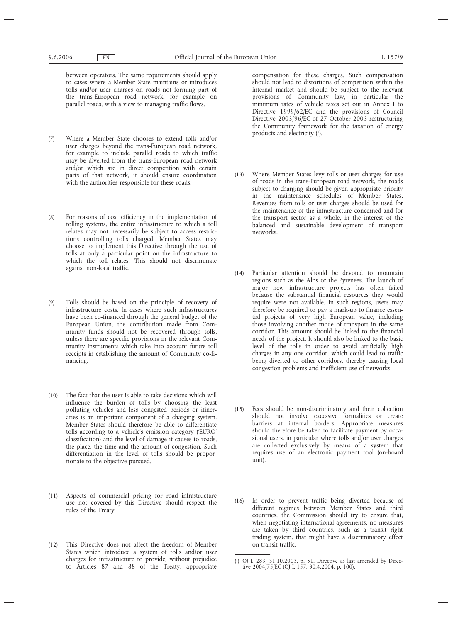between operators. The same requirements should apply to cases where a Member State maintains or introduces tolls and/or user charges on roads not forming part of the trans-European road network, for example on parallel roads, with a view to managing traffic flows.

- (7) Where a Member State chooses to extend tolls and/or user charges beyond the trans-European road network, for example to include parallel roads to which traffic may be diverted from the trans-European road network and/or which are in direct competition with certain parts of that network, it should ensure coordination with the authorities responsible for these roads.
- (8) For reasons of cost efficiency in the implementation of tolling systems, the entire infrastructure to which a toll relates may not necessarily be subject to access restrictions controlling tolls charged. Member States may choose to implement this Directive through the use of tolls at only a particular point on the infrastructure to which the toll relates. This should not discriminate against non-local traffic.
- (9) Tolls should be based on the principle of recovery of infrastructure costs. In cases where such infrastructures have been co-financed through the general budget of the European Union, the contribution made from Community funds should not be recovered through tolls, unless there are specific provisions in the relevant Community instruments which take into account future toll receipts in establishing the amount of Community co-financing.
- (10) The fact that the user is able to take decisions which will influence the burden of tolls by choosing the least polluting vehicles and less congested periods or itineraries is an important component of a charging system. Member States should therefore be able to differentiate tolls according to a vehicle's emission category ('EURO' classification) and the level of damage it causes to roads, the place, the time and the amount of congestion. Such differentiation in the level of tolls should be proportionate to the objective pursued.
- (11) Aspects of commercial pricing for road infrastructure use not covered by this Directive should respect the rules of the Treaty.
- (12) This Directive does not affect the freedom of Member States which introduce a system of tolls and/or user charges for infrastructure to provide, without prejudice to Articles 87 and 88 of the Treaty, appropriate

compensation for these charges. Such compensation should not lead to distortions of competition within the internal market and should be subject to the relevant provisions of Community law, in particular the minimum rates of vehicle taxes set out in Annex I to Directive 1999/62/EC and the provisions of Council Directive 2003/96/EC of 27 October 2003 restructuring the Community framework for the taxation of energy products and electricity (1).

- (13) Where Member States levy tolls or user charges for use of roads in the trans-European road network, the roads subject to charging should be given appropriate priority in the maintenance schedules of Member States. Revenues from tolls or user charges should be used for the maintenance of the infrastructure concerned and for the transport sector as a whole, in the interest of the balanced and sustainable development of transport networks.
- (14) Particular attention should be devoted to mountain regions such as the Alps or the Pyrenees. The launch of major new infrastructure projects has often failed because the substantial financial resources they would require were not available. In such regions, users may therefore be required to pay a mark-up to finance essential projects of very high European value, including those involving another mode of transport in the same corridor. This amount should be linked to the financial needs of the project. It should also be linked to the basic level of the tolls in order to avoid artificially high charges in any one corridor, which could lead to traffic being diverted to other corridors, thereby causing local congestion problems and inefficient use of networks.
- (15) Fees should be non-discriminatory and their collection should not involve excessive formalities or create barriers at internal borders. Appropriate measures should therefore be taken to facilitate payment by occasional users, in particular where tolls and/or user charges are collected exclusively by means of a system that requires use of an electronic payment tool (on-board unit).
- (16) In order to prevent traffic being diverted because of different regimes between Member States and third countries, the Commission should try to ensure that, when negotiating international agreements, no measures are taken by third countries, such as a transit right trading system, that might have a discriminatory effect on transit traffic.

<sup>(</sup> 1 ) OJ L 283, 31.10.2003, p. 51. Directive as last amended by Directive 2004/75/EC (OJ L 157, 30.4.2004, p. 100).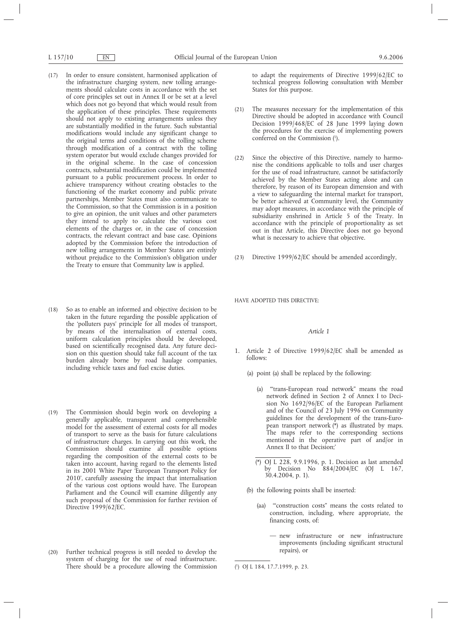- (17) In order to ensure consistent, harmonised application of the infrastructure charging system, new tolling arrangements should calculate costs in accordance with the set of core principles set out in Annex II or be set at a level which does not go beyond that which would result from the application of these principles. These requirements should not apply to existing arrangements unless they are substantially modified in the future. Such substantial modifications would include any significant change to the original terms and conditions of the tolling scheme through modification of a contract with the tolling system operator but would exclude changes provided for in the original scheme. In the case of concession contracts, substantial modification could be implemented pursuant to a public procurement process. In order to achieve transparency without creating obstacles to the functioning of the market economy and public private partnerships, Member States must also communicate to the Commission, so that the Commission is in a position to give an opinion, the unit values and other parameters they intend to apply to calculate the various cost elements of the charges or, in the case of concession contracts, the relevant contract and base case. Opinions adopted by the Commission before the introduction of new tolling arrangements in Member States are entirely without prejudice to the Commission's obligation under the Treaty to ensure that Community law is applied.
- (18) So as to enable an informed and objective decision to be taken in the future regarding the possible application of the 'polluters pays' principle for all modes of transport, by means of the internalisation of external costs, uniform calculation principles should be developed, based on scientifically recognised data. Any future decision on this question should take full account of the tax burden already borne by road haulage companies, including vehicle taxes and fuel excise duties.
- (19) The Commission should begin work on developing a generally applicable, transparent and comprehensible model for the assessment of external costs for all modes of transport to serve as the basis for future calculations of infrastructure charges. In carrying out this work, the Commission should examine all possible options regarding the composition of the external costs to be taken into account, having regard to the elements listed in its 2001 White Paper 'European Transport Policy for 2010', carefully assessing the impact that internalisation of the various cost options would have. The European Parliament and the Council will examine diligently any such proposal of the Commission for further revision of Directive 1999/62/EC.
- (20) Further technical progress is still needed to develop the system of charging for the use of road infrastructure. There should be a procedure allowing the Commission

to adapt the requirements of Directive 1999/62/EC to technical progress following consultation with Member States for this purpose.

- (21) The measures necessary for the implementation of this Directive should be adopted in accordance with Council Decision 1999/468/EC of 28 June 1999 laying down the procedures for the exercise of implementing powers conferred on the Commission  $(1)$ .
- (22) Since the objective of this Directive, namely to harmonise the conditions applicable to tolls and user charges for the use of road infrastructure, cannot be satisfactorily achieved by the Member States acting alone and can therefore, by reason of its European dimension and with a view to safeguarding the internal market for transport, be better achieved at Community level, the Community may adopt measures, in accordance with the principle of subsidiarity enshrined in Article 5 of the Treaty. In accordance with the principle of proportionality as set out in that Article, this Directive does not go beyond what is necessary to achieve that objective.
- (23) Directive 1999/62/EC should be amended accordingly,

HAVE ADOPTED THIS DIRECTIVE:

### *Article 1*

- 1. Article 2 of Directive 1999/62/EC shall be amended as follows:
	- (a) point (a) shall be replaced by the following:
		- (a) '"trans-European road network" means the road network defined in Section 2 of Annex I to Decision No 1692/96/EC of the European Parliament and of the Council of 23 July 1996 on Community guidelines for the development of the trans-European transport network  $(\hat{\cdot})$  as illustrated by maps. The maps refer to the corresponding sections mentioned in the operative part of and/or in Annex II to that Decision;'
		- (\*) OJ L 228, 9.9.1996, p. 1. Decision as last amended by Decision No 884/2004/EC (OJ L 167, 30.4.2004, p. 1).
	- (b) the following points shall be inserted:
		- (aa) '"construction costs" means the costs related to construction, including, where appropriate, the financing costs, of:
			- new infrastructure or new infrastructure improvements (including significant structural repairs), or

<sup>(</sup> 1 ) OJ L 184, 17.7.1999, p. 23.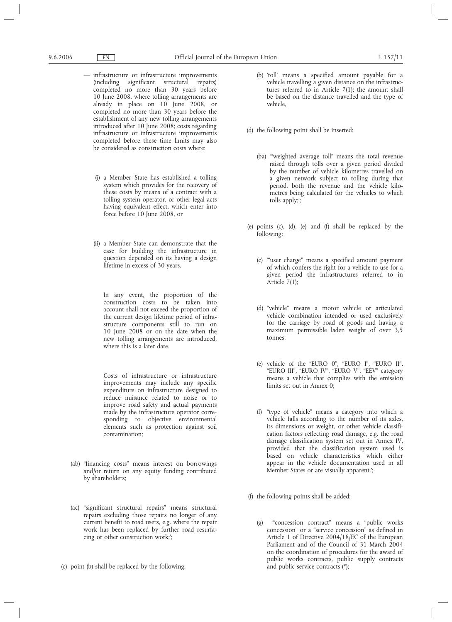- infrastructure or infrastructure improvements (including significant structural repairs) completed no more than 30 years before 10 June 2008, where tolling arrangements are already in place on 10 June 2008, or completed no more than 30 years before the establishment of any new tolling arrangements introduced after 10 June 2008; costs regarding infrastructure or infrastructure improvements completed before these time limits may also be considered as construction costs where:
	- (i) a Member State has established a tolling system which provides for the recovery of these costs by means of a contract with a tolling system operator, or other legal acts having equivalent effect, which enter into force before 10 June 2008, or
	- (ii) a Member State can demonstrate that the case for building the infrastructure in question depended on its having a design lifetime in excess of 30 years.

In any event, the proportion of the construction costs to be taken into account shall not exceed the proportion of the current design lifetime period of infrastructure components still to run on 10 June 2008 or on the date when the new tolling arrangements are introduced, where this is a later date.

Costs of infrastructure or infrastructure improvements may include any specific expenditure on infrastructure designed to reduce nuisance related to noise or to improve road safety and actual payments made by the infrastructure operator corresponding to objective environmental elements such as protection against soil contamination;

- (ab) "financing costs" means interest on borrowings and/or return on any equity funding contributed by shareholders;
- (ac) "significant structural repairs" means structural repairs excluding those repairs no longer of any current benefit to road users, e.g. where the repair work has been replaced by further road resurfacing or other construction work;';
- (c) point (b) shall be replaced by the following:
- (b) 'toll' means a specified amount payable for a vehicle travelling a given distance on the infrastructures referred to in Article 7(1); the amount shall be based on the distance travelled and the type of vehicle,
- (d) the following point shall be inserted:
	- (ba) '"weighted average toll" means the total revenue raised through tolls over a given period divided by the number of vehicle kilometres travelled on a given network subject to tolling during that period, both the revenue and the vehicle kilometres being calculated for the vehicles to which tolls apply;';
- (e) points (c), (d), (e) and (f) shall be replaced by the following:
	- (c) '"user charge" means a specified amount payment of which confers the right for a vehicle to use for a given period the infrastructures referred to in Article  $7(1)$ ;
	- (d) "vehicle" means a motor vehicle or articulated vehicle combination intended or used exclusively for the carriage by road of goods and having a maximum permissible laden weight of over 3,5 tonnes;
	- (e) vehicle of the "EURO 0", "EURO I", "EURO II", "EURO III", "EURO IV", "EURO V", "EEV" category means a vehicle that complies with the emission limits set out in Annex 0;
	- (f) "type of vehicle" means a category into which a vehicle falls according to the number of its axles, its dimensions or weight, or other vehicle classification factors reflecting road damage, e.g. the road damage classification system set out in Annex IV, provided that the classification system used is based on vehicle characteristics which either appear in the vehicle documentation used in all Member States or are visually apparent.';
- (f) the following points shall be added:
	- (g) '"concession contract" means a "public works concession" or a "service concession" as defined in Article 1 of Directive 2004/18/EC of the European Parliament and of the Council of 31 March 2004 on the coordination of procedures for the award of public works contracts, public supply contracts and public service contracts (\*);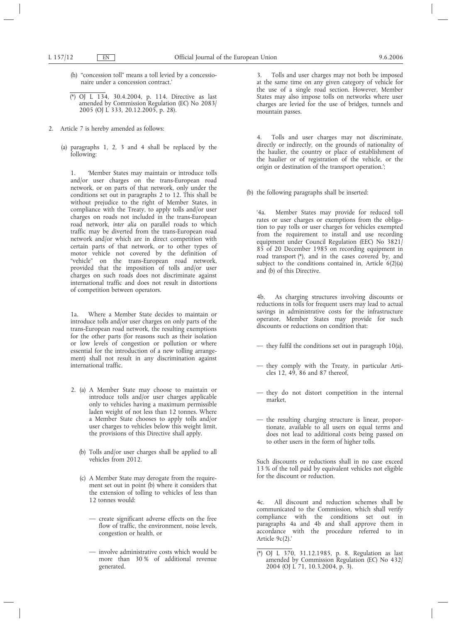- (h) "concession toll" means a toll levied by a concessionaire under a concession contract.'
- (\*) OJ L 134, 30.4.2004, p. 114. Directive as last amended by Commission Regulation (EC) No 2083/ 2005 (OJ L 333, 20.12.2005, p. 28).
- 2. Article 7 is hereby amended as follows:
	- (a) paragraphs 1, 2, 3 and 4 shall be replaced by the following:

1. 'Member States may maintain or introduce tolls and/or user charges on the trans-European road network, or on parts of that network, only under the conditions set out in paragraphs 2 to 12. This shall be without prejudice to the right of Member States, in compliance with the Treaty, to apply tolls and/or user charges on roads not included in the trans-European road network, *inter alia* on parallel roads to which traffic may be diverted from the trans-European road network and/or which are in direct competition with certain parts of that network, or to other types of motor vehicle not covered by the definition of "vehicle" on the trans-European road network, provided that the imposition of tolls and/or user charges on such roads does not discriminate against international traffic and does not result in distortions of competition between operators.

1a. Where a Member State decides to maintain or introduce tolls and/or user charges on only parts of the trans-European road network, the resulting exemptions for the other parts (for reasons such as their isolation or low levels of congestion or pollution or where essential for the introduction of a new tolling arrangement) shall not result in any discrimination against international traffic.

- 2. (a) A Member State may choose to maintain or introduce tolls and/or user charges applicable only to vehicles having a maximum permissible laden weight of not less than 12 tonnes. Where a Member State chooses to apply tolls and/or user charges to vehicles below this weight limit, the provisions of this Directive shall apply.
	- (b) Tolls and/or user charges shall be applied to all vehicles from 2012.
	- (c) A Member State may derogate from the requirement set out in point (b) where it considers that the extension of tolling to vehicles of less than 12 tonnes would:
		- create significant adverse effects on the free flow of traffic, the environment, noise levels, congestion or health, or
		- involve administrative costs which would be more than 30 % of additional revenue generated.

3. Tolls and user charges may not both be imposed at the same time on any given category of vehicle for the use of a single road section. However, Member States may also impose tolls on networks where user charges are levied for the use of bridges, tunnels and mountain passes.

4. Tolls and user charges may not discriminate, directly or indirectly, on the grounds of nationality of the haulier, the country or place of establishment of the haulier or of registration of the vehicle, or the origin or destination of the transport operation.';

(b) the following paragraphs shall be inserted:

'4a. Member States may provide for reduced toll rates or user charges or exemptions from the obligation to pay tolls or user charges for vehicles exempted from the requirement to install and use recording equipment under Council Regulation (EEC) No 3821/ 85 of 20 December 1985 on recording equipment in road transport (\*), and in the cases covered by, and subject to the conditions contained in, Article  $6(2)(a)$ and (b) of this Directive.

4b. As charging structures involving discounts or reductions in tolls for frequent users may lead to actual savings in administrative costs for the infrastructure operator, Member States may provide for such discounts or reductions on condition that:

- they fulfil the conditions set out in paragraph 10(a),
- they comply with the Treaty, in particular Articles 12, 49, 86 and 87 thereof,
- they do not distort competition in the internal market,
- the resulting charging structure is linear, proportionate, available to all users on equal terms and does not lead to additional costs being passed on to other users in the form of higher tolls.

Such discounts or reductions shall in no case exceed 13 % of the toll paid by equivalent vehicles not eligible for the discount or reduction.

4c. All discount and reduction schemes shall be communicated to the Commission, which shall verify compliance with the conditions set out in paragraphs 4a and 4b and shall approve them in accordance with the procedure referred to in Article 9c(2).'

<sup>(\*)</sup> OJ L 370, 31.12.1985, p. 8. Regulation as last amended by Commission Regulation (EC) No 432/ 2004 (OJ L 71, 10.3.2004, p. 3).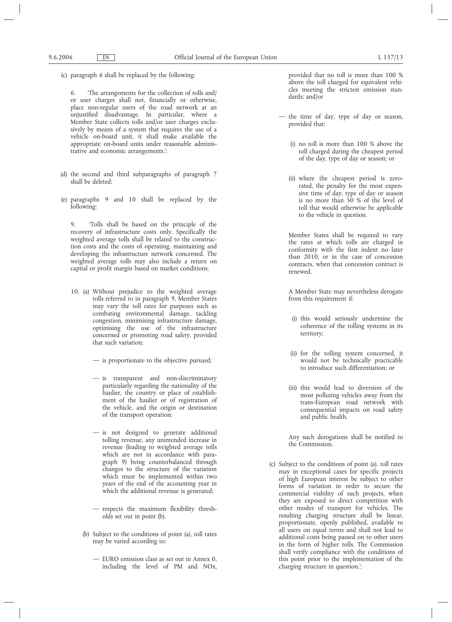(c) paragraph 6 shall be replaced by the following:

6. 'The arrangements for the collection of tolls and/ or user charges shall not, financially or otherwise, place non-regular users of the road network at an unjustified disadvantage. In particular, where a Member State collects tolls and/or user charges exclusively by means of a system that requires the use of a vehicle on-board unit, it shall make available the appropriate on-board units under reasonable administrative and economic arrangements.';

- (d) the second and third subparagraphs of paragraph 7 shall be deleted;
- (e) paragraphs 9 and 10 shall be replaced by the following:

9. 'Tolls shall be based on the principle of the recovery of infrastructure costs only. Specifically the weighted average tolls shall be related to the construction costs and the costs of operating, maintaining and developing the infrastructure network concerned. The weighted average tolls may also include a return on capital or profit margin based on market conditions.

- 10. (a) Without prejudice to the weighted average tolls referred to in paragraph 9, Member States may vary the toll rates for purposes such as combating environmental damage, tackling congestion, minimising infrastructure damage, optimising the use of the infrastructure concerned or promoting road safety, provided that such variation:
	- is proportionate to the objective pursued;
	- is transparent and non-discriminatory particularly regarding the nationality of the haulier, the country or place of establishment of the haulier or of registration of the vehicle, and the origin or destination of the transport operation;
	- is not designed to generate additional tolling revenue, any unintended increase in revenue (leading to weighted average tolls which are not in accordance with paragraph 9) being counterbalanced through changes to the structure of the variation which must be implemented within two years of the end of the accounting year in which the additional revenue is generated;
	- respects the maximum flexibility thresholds set out in point (b).
	- (b) Subject to the conditions of point (a), toll rates may be varied according to:
		- EURO emission class as set out in Annex 0, including the level of PM and NOx,

provided that no toll is more than 100 % above the toll charged for equivalent vehicles meeting the strictest emission standards; and/or

- the time of day, type of day or season, provided that:
	- (i) no toll is more than 100 % above the toll charged during the cheapest period of the day, type of day or season; or
	- (ii) where the cheapest period is zerorated, the penalty for the most expensive time of day, type of day or season is no more than 50 % of the level of toll that would otherwise be applicable to the vehicle in question.

Member States shall be required to vary the rates at which tolls are charged in conformity with the first indent no later than 2010, or in the case of concession contracts, when that concession contract is renewed.

A Member State may nevertheless derogate from this requirement if:

- (i) this would seriously undermine the coherence of the tolling systems in its territory;
- (ii) for the tolling system concerned, it would not be technically practicable to introduce such differentiation; or
- (iii) this would lead to diversion of the most polluting vehicles away from the trans-European road network with consequential impacts on road safety and public health.

Any such derogations shall be notified to the Commission.

(c) Subject to the conditions of point (a), toll rates may in exceptional cases for specific projects of high European interest be subject to other forms of variation in order to secure the commercial viability of such projects, when they are exposed to direct competition with other modes of transport for vehicles. The resulting charging structure shall be linear, proportionate, openly published, available to all users on equal terms and shall not lead to additional costs being passed on to other users in the form of higher tolls. The Commission shall verify compliance with the conditions of this point prior to the implementation of the charging structure in question.';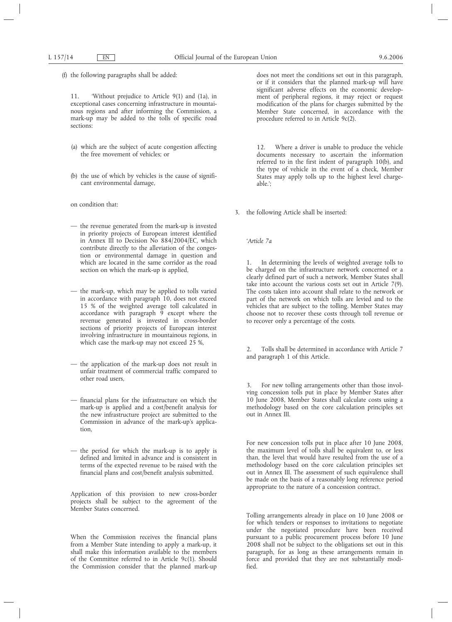(f) the following paragraphs shall be added:

11. 'Without prejudice to Article 9(1) and (1a), in exceptional cases concerning infrastructure in mountainous regions and after informing the Commission, a mark-up may be added to the tolls of specific road sections:

- (a) which are the subject of acute congestion affecting the free movement of vehicles; or
- (b) the use of which by vehicles is the cause of significant environmental damage,

on condition that:

- the revenue generated from the mark-up is invested in priority projects of European interest identified in Annex III to Decision No 884/2004/EC, which contribute directly to the alleviation of the congestion or environmental damage in question and which are located in the same corridor as the road section on which the mark-up is applied,
- the mark-up, which may be applied to tolls varied in accordance with paragraph 10, does not exceed 15 % of the weighted average toll calculated in accordance with paragraph 9 except where the revenue generated is invested in cross-border sections of priority projects of European interest involving infrastructure in mountainous regions, in which case the mark-up may not exceed 25 %,
- the application of the mark-up does not result in unfair treatment of commercial traffic compared to other road users,
- financial plans for the infrastructure on which the mark-up is applied and a cost/benefit analysis for the new infrastructure project are submitted to the Commission in advance of the mark-up's application,
- the period for which the mark-up is to apply is defined and limited in advance and is consistent in terms of the expected revenue to be raised with the financial plans and cost/benefit analysis submitted.

Application of this provision to new cross-border projects shall be subject to the agreement of the Member States concerned.

When the Commission receives the financial plans from a Member State intending to apply a mark-up, it shall make this information available to the members of the Committee referred to in Article 9c(1). Should the Commission consider that the planned mark-up does not meet the conditions set out in this paragraph, or if it considers that the planned mark-up will have significant adverse effects on the economic development of peripheral regions, it may reject or request modification of the plans for charges submitted by the Member State concerned, in accordance with the procedure referred to in Article 9c(2).

12. Where a driver is unable to produce the vehicle documents necessary to ascertain the information referred to in the first indent of paragraph 10(b), and the type of vehicle in the event of a check, Member States may apply tolls up to the highest level chargeable.';

3. the following Article shall be inserted:

*'Article 7a*

In determining the levels of weighted average tolls to be charged on the infrastructure network concerned or a clearly defined part of such a network, Member States shall take into account the various costs set out in Article 7(9). The costs taken into account shall relate to the network or part of the network on which tolls are levied and to the vehicles that are subject to the tolling. Member States may choose not to recover these costs through toll revenue or to recover only a percentage of the costs.

Tolls shall be determined in accordance with Article 7 and paragraph 1 of this Article.

3. For new tolling arrangements other than those involving concession tolls put in place by Member States after 10 June 2008, Member States shall calculate costs using a methodology based on the core calculation principles set out in Annex III.

For new concession tolls put in place after 10 June 2008, the maximum level of tolls shall be equivalent to, or less than, the level that would have resulted from the use of a methodology based on the core calculation principles set out in Annex III. The assessment of such equivalence shall be made on the basis of a reasonably long reference period appropriate to the nature of a concession contract.

Tolling arrangements already in place on 10 June 2008 or for which tenders or responses to invitations to negotiate under the negotiated procedure have been received pursuant to a public procurement process before 10 June 2008 shall not be subject to the obligations set out in this paragraph, for as long as these arrangements remain in force and provided that they are not substantially modified.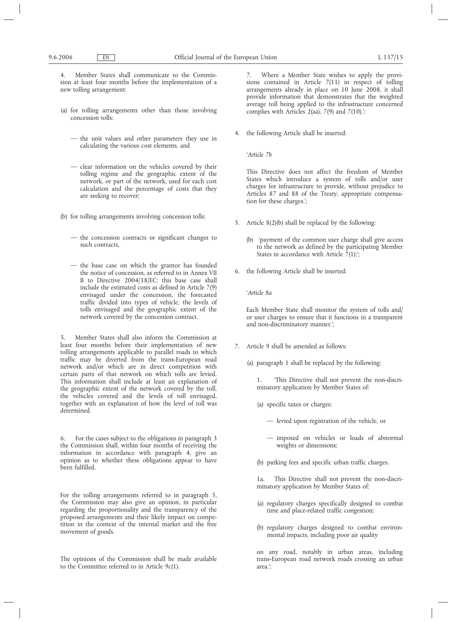4. Member States shall communicate to the Commission at least four months before the implementation of a new tolling arrangement:

- (a) for tolling arrangements other than those involving concession tolls:
	- the unit values and other parameters they use in calculating the various cost elements, and
	- clear information on the vehicles covered by their tolling regime and the geographic extent of the network, or part of the network, used for each cost calculation and the percentage of costs that they are seeking to recover;
- (b) for tolling arrangements involving concession tolls:
	- the concession contracts or significant changes to such contracts,
	- the base case on which the grantor has founded the notice of concession, as referred to in Annex VII B to Directive 2004/18/EC; this base case shall include the estimated costs as defined in Article 7(9) envisaged under the concession, the forecasted traffic divided into types of vehicle, the levels of tolls envisaged and the geographic extent of the network covered by the concession contract.

5. Member States shall also inform the Commission at least four months before their implementation of new tolling arrangements applicable to parallel roads to which traffic may be diverted from the trans-European road network and/or which are in direct competition with certain parts of that network on which tolls are levied. This information shall include at least an explanation of the geographic extent of the network covered by the toll, the vehicles covered and the levels of toll envisaged, together with an explanation of how the level of toll was determined.

6. For the cases subject to the obligations in paragraph 3 the Commission shall, within four months of receiving the information in accordance with paragraph 4, give an opinion as to whether these obligations appear to have been fulfilled.

For the tolling arrangements referred to in paragraph 5, the Commission may also give an opinion, in particular regarding the proportionality and the transparency of the proposed arrangements and their likely impact on competition in the context of the internal market and the free movement of goods.

The opinions of the Commission shall be made available to the Committee referred to in Article 9c(1).

7. Where a Member State wishes to apply the provisions contained in Article 7(11) in respect of tolling arrangements already in place on 10 June 2008, it shall provide information that demonstrates that the weighted average toll being applied to the infrastructure concerned complies with Articles 2(aa), 7(9) and 7(10).';

4. the following Article shall be inserted:

*'Article 7b*

This Directive does not affect the freedom of Member States which introduce a system of tolls and/or user charges for infrastructure to provide, without prejudice to Articles 87 and 88 of the Treaty, appropriate compensation for these charges.';

- 5. Article 8(2)(b) shall be replaced by the following:
	- (b) 'payment of the common user charge shall give access to the network as defined by the participating Member States in accordance with Article  $\bar{7}(1)$ ;';
- 6. the following Article shall be inserted:

### *'Article 8a*

Each Member State shall monitor the system of tolls and/ or user charges to ensure that it functions in a transparent and non-discriminatory manner.';

- 7. Article 9 shall be amended as follows:
	- (a) paragraph 1 shall be replaced by the following:

1. 'This Directive shall not prevent the non-discriminatory application by Member States of:

- (a) specific taxes or charges:
	- levied upon registration of the vehicle, or
	- imposed on vehicles or loads of abnormal weights or dimensions;
- (b) parking fees and specific urban traffic charges.

1a. This Directive shall not prevent the non-discriminatory application by Member States of:

- (a) regulatory charges specifically designed to combat time and place-related traffic congestion;
- (b) regulatory charges designed to combat environmental impacts, including poor air quality

on any road, notably in urban areas, including trans-European road network roads crossing an urban area.';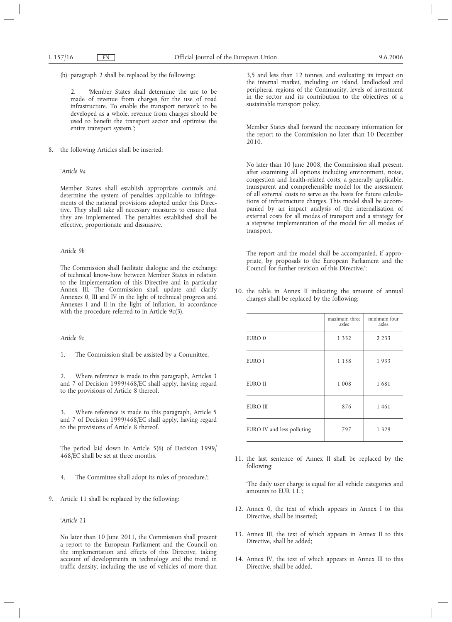(b) paragraph 2 shall be replaced by the following:

2. 'Member States shall determine the use to be made of revenue from charges for the use of road infrastructure. To enable the transport network to be developed as a whole, revenue from charges should be used to benefit the transport sector and optimise the entire transport system.';

8. the following Articles shall be inserted:

## *'Article 9a*

Member States shall establish appropriate controls and determine the system of penalties applicable to infringements of the national provisions adopted under this Directive. They shall take all necessary measures to ensure that they are implemented. The penalties established shall be effective, proportionate and dissuasive.

## *Article 9b*

The Commission shall facilitate dialogue and the exchange of technical know-how between Member States in relation to the implementation of this Directive and in particular Annex III. The Commission shall update and clarify Annexes 0, III and IV in the light of technical progress and Annexes I and II in the light of inflation, in accordance with the procedure referred to in Article 9c(3).

## *Article 9c*

1. The Commission shall be assisted by a Committee.

2. Where reference is made to this paragraph, Articles 3 and 7 of Decision 1999/468/EC shall apply, having regard to the provisions of Article 8 thereof.

3. Where reference is made to this paragraph, Article 5 and 7 of Decision 1999/468/EC shall apply, having regard to the provisions of Article 8 thereof.

The period laid down in Article 5(6) of Decision 1999/ 468/EC shall be set at three months.

- 4. The Committee shall adopt its rules of procedure.';
- 9. Article 11 shall be replaced by the following:

*'Article 11*

No later than 10 June 2011, the Commission shall present a report to the European Parliament and the Council on the implementation and effects of this Directive, taking account of developments in technology and the trend in traffic density, including the use of vehicles of more than 3,5 and less than 12 tonnes, and evaluating its impact on the internal market, including on island, landlocked and peripheral regions of the Community, levels of investment in the sector and its contribution to the objectives of a sustainable transport policy.

Member States shall forward the necessary information for the report to the Commission no later than 10 December 2010.

No later than 10 June 2008, the Commission shall present, after examining all options including environment, noise, congestion and health-related costs, a generally applicable, transparent and comprehensible model for the assessment of all external costs to serve as the basis for future calculations of infrastructure charges. This model shall be accompanied by an impact analysis of the internalisation of external costs for all modes of transport and a strategy for a stepwise implementation of the model for all modes of transport.

The report and the model shall be accompanied, if appropriate, by proposals to the European Parliament and the Council for further revision of this Directive.';

10. the table in Annex II indicating the amount of annual charges shall be replaced by the following:

|                            | maximum three<br>axles | minimum four<br>axles |
|----------------------------|------------------------|-----------------------|
| EURO 0                     | 1 3 3 2                | 2 2 3 3               |
| EURO I                     | 1 1 5 8                | 1933                  |
| EURO II                    | 1 0 0 8                | 1681                  |
| <b>EURO III</b>            | 876                    | 1461                  |
| EURO IV and less polluting | 797                    | 1 3 2 9               |

11. the last sentence of Annex II shall be replaced by the following:

'The daily user charge is equal for all vehicle categories and amounts to EUR 11.';

- 12. Annex 0, the text of which appears in Annex I to this Directive, shall be inserted;
- 13. Annex III, the text of which appears in Annex II to this Directive, shall be added;
- 14. Annex IV, the text of which appears in Annex III to this Directive, shall be added.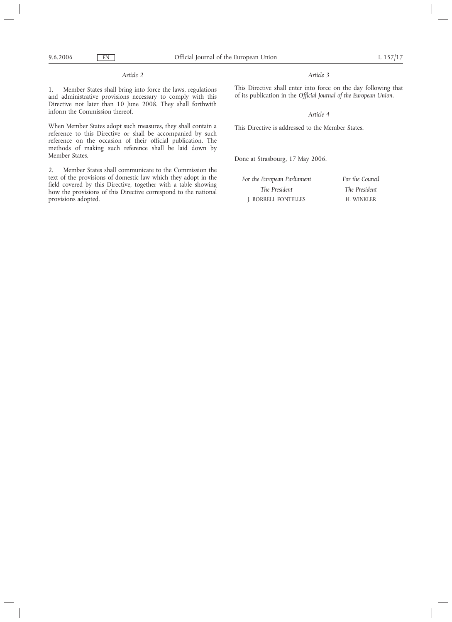## *Article 2*

1. Member States shall bring into force the laws, regulations and administrative provisions necessary to comply with this Directive not later than 10 June 2008. They shall forthwith inform the Commission thereof.

When Member States adopt such measures, they shall contain a reference to this Directive or shall be accompanied by such reference on the occasion of their official publication. The methods of making such reference shall be laid down by Member States.

2. Member States shall communicate to the Commission the text of the provisions of domestic law which they adopt in the field covered by this Directive, together with a table showing how the provisions of this Directive correspond to the national provisions adopted.

## *Article 3*

This Directive shall enter into force on the day following that of its publication in the *Official Journal of the European Union.*

## *Article 4*

This Directive is addressed to the Member States.

Done at Strasbourg, 17 May 2006.

| For the European Parliament | For the Council |
|-----------------------------|-----------------|
| The President               | The President   |
| J. BORRELL FONTELLES        | H. WINKLER      |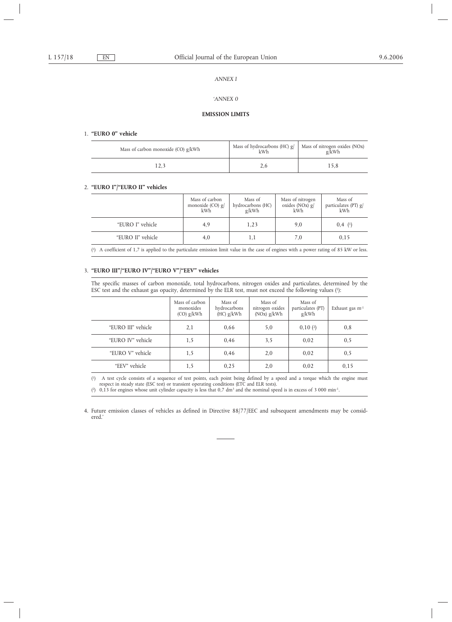## *ANNEX I*

## *'ANNEX 0*

## **EMISSION LIMITS**

#### 1. **"EURO 0" vehicle**

| Mass of carbon monoxide (CO) $g/kWh$ | kWh | Mass of hydrocarbons (HC) g/   Mass of nitrogen oxides (NOx)<br>$\sigma$ /kWh |
|--------------------------------------|-----|-------------------------------------------------------------------------------|
|                                      |     |                                                                               |

## 2. **"EURO I"/"EURO II" vehicles**

|                   | Mass of carbon<br>monoxide $(CO)$ g/<br>kWh | Mass of<br>hydrocarbons (HC)<br>g/kWh | Mass of nitrogen<br>oxides $(NOx)$ g<br>kWh | Mass of<br>particulates (PT) g/<br>kWh |
|-------------------|---------------------------------------------|---------------------------------------|---------------------------------------------|----------------------------------------|
| "EURO I" vehicle  | 4,9                                         | 1,23                                  | 9,0                                         | $0,4$ $(1)$                            |
| "EURO II" vehicle | 4,0                                         |                                       | 7,0                                         | 0,15                                   |

( 1) A coefficient of 1,7 is applied to the particulate emission limit value in the case of engines with a power rating of 85 kW or less.

## 3. **"EURO III"/"EURO IV"/"EURO V"/"EEV" vehicles**

The specific masses of carbon monoxide, total hydrocarbons, nitrogen oxides and particulates, determined by the ESC test and the exhaust gas opacity, determined by the ELR test, must not exceed the following values (1):

|                    | Mass of carbon<br>monoxides<br>$(CO)$ g/kWh | Mass of<br>hydrocarbons<br>$(HC)$ g/kWh | Mass of<br>nitrogen oxides<br>$(NOx)$ g/kWh | Mass of<br>particulates (PT)<br>g/kWh | Exhaust gas $m^{-1}$ |
|--------------------|---------------------------------------------|-----------------------------------------|---------------------------------------------|---------------------------------------|----------------------|
| "EURO III" vehicle | 2,1                                         | 0,66                                    | 5,0                                         | 0,10(2)                               | 0,8                  |
| "EURO IV" vehicle  | 1,5                                         | 0,46                                    | 3,5                                         | 0.02                                  | 0, 5                 |
| "EURO V" vehicle   | 1,5                                         | 0,46                                    | 2,0                                         | 0,02                                  | 0, 5                 |
| "EEV" vehicle      | 1,5                                         | 0.25                                    | 2,0                                         | 0,02                                  | 0,15                 |

( 1) A test cycle consists of a sequence of test points, each point being defined by a speed and a torque which the engine must respect in steady state (ESC test) or transient operating conditions (ETC and ELR tests).

 $(2)$  0,13 for engines whose unit cylinder capacity is less that 0,7 dm<sup>3</sup> and the nominal speed is in excess of 3 000 min<sup>-1</sup>.

4. Future emission classes of vehicles as defined in Directive 88/77/EEC and subsequent amendments may be considered.'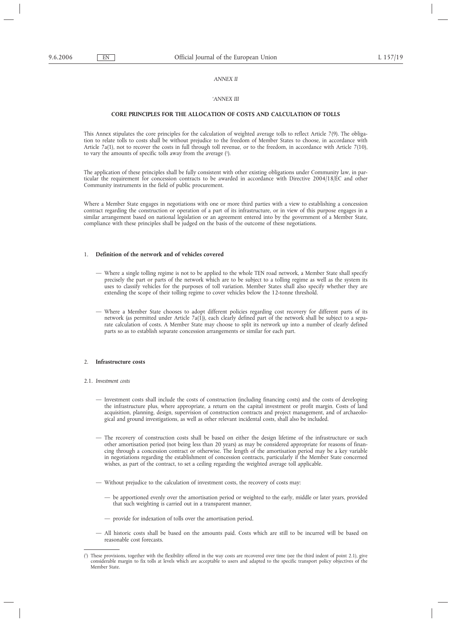### *ANNEX II*

## *'ANNEX III*

### **CORE PRINCIPLES FOR THE ALLOCATION OF COSTS AND CALCULATION OF TOLLS**

This Annex stipulates the core principles for the calculation of weighted average tolls to reflect Article 7(9). The obligation to relate tolls to costs shall be without prejudice to the freedom of Member States to choose, in accordance with Article 7a(1), not to recover the costs in full through toll revenue, or to the freedom, in accordance with Article 7(10), to vary the amounts of specific tolls away from the average (1 ).

The application of these principles shall be fully consistent with other existing obligations under Community law, in particular the requirement for concession contracts to be awarded in accordance with Directive 2004/18/EC and other Community instruments in the field of public procurement.

Where a Member State engages in negotiations with one or more third parties with a view to establishing a concession contract regarding the construction or operation of a part of its infrastructure, or in view of this purpose engages in a similar arrangement based on national legislation or an agreement entered into by the government of a Member State, compliance with these principles shall be judged on the basis of the outcome of these negotiations.

## 1. **Definition of the network and of vehicles covered**

- Where a single tolling regime is not to be applied to the whole TEN road network, a Member State shall specify precisely the part or parts of the network which are to be subject to a tolling regime as well as the system its uses to classify vehicles for the purposes of toll variation. Member States shall also specify whether they are extending the scope of their tolling regime to cover vehicles below the 12-tonne threshold.
- Where a Member State chooses to adopt different policies regarding cost recovery for different parts of its network (as permitted under Article 7a(1)), each clearly defined part of the network shall be subject to a separate calculation of costs. A Member State may choose to split its network up into a number of clearly defined parts so as to establish separate concession arrangements or similar for each part.

#### 2. **Infrastructure costs**

#### 2.1. *Investment costs*

- Investment costs shall include the costs of construction (including financing costs) and the costs of developing the infrastructure plus, where appropriate, a return on the capital investment or profit margin. Costs of land acquisition, planning, design, supervision of construction contracts and project management, and of archaeological and ground investigations, as well as other relevant incidental costs, shall also be included.
- The recovery of construction costs shall be based on either the design lifetime of the infrastructure or such other amortisation period (not being less than 20 years) as may be considered appropriate for reasons of financing through a concession contract or otherwise. The length of the amortisation period may be a key variable in negotiations regarding the establishment of concession contracts, particularly if the Member State concerned wishes, as part of the contract, to set a ceiling regarding the weighted average toll applicable.
- Without prejudice to the calculation of investment costs, the recovery of costs may:
	- be apportioned evenly over the amortisation period or weighted to the early, middle or later years, provided that such weighting is carried out in a transparent manner,
	- provide for indexation of tolls over the amortisation period.
- All historic costs shall be based on the amounts paid. Costs which are still to be incurred will be based on reasonable cost forecasts.

<sup>(</sup> 1 ) These provisions, together with the flexibility offered in the way costs are recovered over time (see the third indent of point 2.1), give considerable margin to fix tolls at levels which are acceptable to users and adapted to the specific transport policy objectives of the Member State.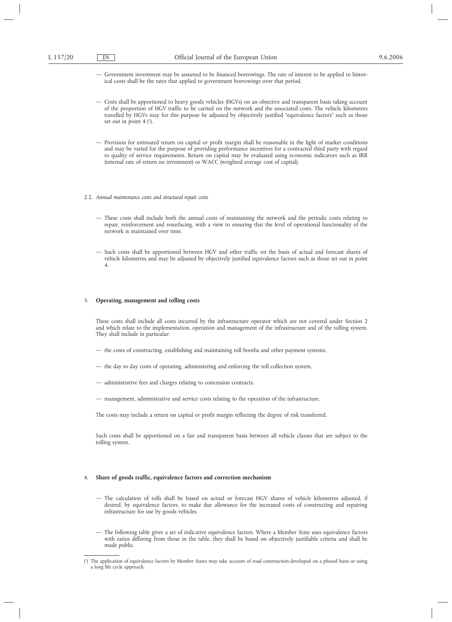- Government investment may be assumed to be financed borrowings. The rate of interest to be applied to historical costs shall be the rates that applied to government borrowings over that period.
- Costs shall be apportioned to heavy goods vehicles (HGVs) on an objective and transparent basis taking account of the proportion of HGV traffic to be carried on the network and the associated costs. The vehicle kilometres travelled by HGVs may for this purpose be adjusted by objectively justified "equivalence factors" such as those set out in point  $4$   $\binom{1}{2}$ .
- Provision for estimated return on capital or profit margin shall be reasonable in the light of market conditions and may be varied for the purpose of providing performance incentives for a contracted third party with regard to quality of service requirements. Return on capital may be evaluated using economic indicators such as IRR (internal rate of return on investment) or WACC (weighted average cost of capital).
- 2.2. *Annual maintenance costs and structural repair costs*
	- These costs shall include both the annual costs of maintaining the network and the periodic costs relating to repair, reinforcement and resurfacing, with a view to ensuring that the level of operational functionality of the network is maintained over time.
	- Such costs shall be apportioned between HGV and other traffic on the basis of actual and forecast shares of vehicle kilometres and may be adjusted by objectively justified equivalence factors such as those set out in point 4.

#### 3. **Operating, management and tolling costs**

These costs shall include all costs incurred by the infrastructure operator which are not covered under Section 2 and which relate to the implementation, operation and management of the infrastructure and of the tolling system. They shall include in particular:

- the costs of constructing, establishing and maintaining toll booths and other payment systems,
- the day to day costs of operating, administering and enforcing the toll collection system,
- administrative fees and charges relating to concession contracts,
- management, administrative and service costs relating to the operation of the infrastructure.

The costs may include a return on capital or profit margin reflecting the degree of risk transferred.

Such costs shall be apportioned on a fair and transparent basis between all vehicle classes that are subject to the tolling system.

#### 4. **Share of goods traffic, equivalence factors and correction mechanism**

- The calculation of tolls shall be based on actual or forecast HGV shares of vehicle kilometres adjusted, if desired, by equivalence factors, to make due allowance for the increased costs of constructing and repairing infrastructure for use by goods vehicles.
- The following table gives a set of indicative equivalence factors. Where a Member State uses equivalence factors with ratios differing from those in the table, they shall be based on objectively justifiable criteria and shall be made public.

<sup>(</sup> ) The application of equivalence factors by Member States may take account of road construction developed on a phased basis or using a long life cycle approach.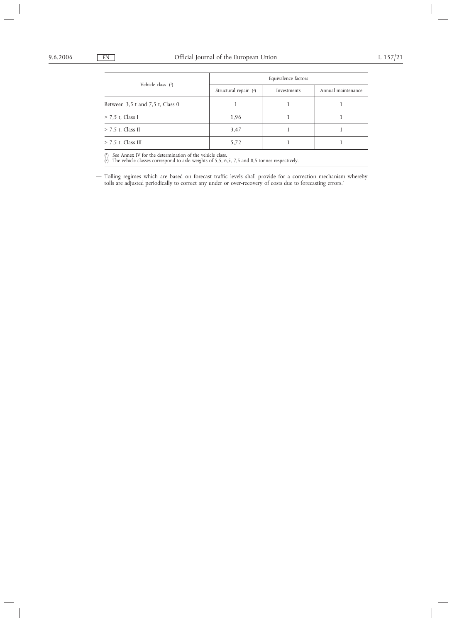| Vehicle class (1)                                                                                                                                                                                                                                                                                                                                                                                                                                           | Equivalence factors   |             |                    |  |
|-------------------------------------------------------------------------------------------------------------------------------------------------------------------------------------------------------------------------------------------------------------------------------------------------------------------------------------------------------------------------------------------------------------------------------------------------------------|-----------------------|-------------|--------------------|--|
|                                                                                                                                                                                                                                                                                                                                                                                                                                                             | Structural repair (2) | Investments | Annual maintenance |  |
| Between 3,5 t and 7,5 t, Class 0                                                                                                                                                                                                                                                                                                                                                                                                                            |                       |             |                    |  |
| $> 7,5$ t, Class I                                                                                                                                                                                                                                                                                                                                                                                                                                          | 1,96                  |             |                    |  |
| $> 7.5$ t, Class II                                                                                                                                                                                                                                                                                                                                                                                                                                         | 3,47                  |             |                    |  |
| $> 7.5$ t, Class III                                                                                                                                                                                                                                                                                                                                                                                                                                        | 5,72                  |             |                    |  |
| $\mathcal{L}(\mathcal{L}(\mathcal{L}(\mathcal{L}(\mathcal{L}(\mathcal{L}(\mathcal{L}(\mathcal{L}(\mathcal{L}(\mathcal{L}(\mathcal{L}(\mathcal{L}(\mathcal{L}(\mathcal{L}(\mathcal{L}(\mathcal{L}(\mathcal{L}(\mathcal{L}(\mathcal{L}(\mathcal{L}(\mathcal{L}(\mathcal{L}(\mathcal{L}(\mathcal{L}(\mathcal{L}(\mathcal{L}(\mathcal{L}(\mathcal{L}(\mathcal{L}(\mathcal{L}(\mathcal{L}(\mathcal{L}(\mathcal{L}(\mathcal{L}(\mathcal{L}(\mathcal{L}(\mathcal{$ |                       |             |                    |  |

( 1) See Annex IV for the determination of the vehicle class. ( $^2$ ) The vehicle classes correspond to axle weights of 5,5, 6,5, 7,5 and 8,5 tonnes respectively.

— Tolling regimes which are based on forecast traffic levels shall provide for a correction mechanism whereby tolls are adjusted periodically to correct any under or over-recovery of costs due to forecasting errors.'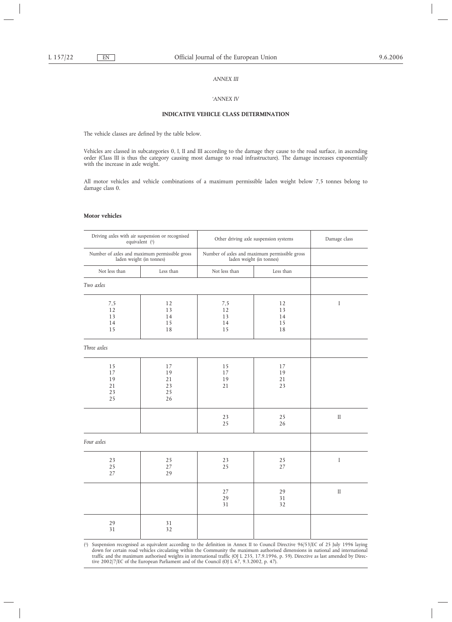## *ANNEX III*

### *'ANNEX IV*

## **INDICATIVE VEHICLE CLASS DETERMINATION**

The vehicle classes are defined by the table below.

Vehicles are classed in subcategories 0, I, II and III according to the damage they cause to the road surface, in ascending order (Class III is thus the category causing most damage to road infrastructure). The damage increases exponentially with the increase in axle weight.

All motor vehicles and vehicle combinations of a maximum permissible laden weight below 7,5 tonnes belong to damage class 0.

### **Motor vehicles**

| Driving axles with air suspension or recognised<br>equivalent (1)         |                                  | Other driving axle suspension systems                                     |                            | Damage class |
|---------------------------------------------------------------------------|----------------------------------|---------------------------------------------------------------------------|----------------------------|--------------|
| Number of axles and maximum permissible gross<br>laden weight (in tonnes) |                                  | Number of axles and maximum permissible gross<br>laden weight (in tonnes) |                            |              |
| Not less than                                                             | Less than                        | Not less than                                                             | Less than                  |              |
| Two axles                                                                 |                                  |                                                                           |                            |              |
| 7,5<br>12<br>13<br>14<br>15                                               | 12<br>13<br>14<br>15<br>18       | 7,5<br>12<br>13<br>14<br>15                                               | 12<br>13<br>14<br>15<br>18 | $\mathbf I$  |
| Three axles                                                               |                                  |                                                                           |                            |              |
| 15<br>17<br>19<br>21<br>23<br>25                                          | 17<br>19<br>21<br>23<br>25<br>26 | 15<br>17<br>19<br>21                                                      | 17<br>19<br>21<br>23       |              |
|                                                                           |                                  | 23<br>25                                                                  | 25<br>26                   | $\rm II$     |
| Four axles                                                                |                                  |                                                                           |                            |              |
| 23<br>25<br>27                                                            | 25<br>27<br>29                   | 23<br>25                                                                  | 25<br>27                   | $\mathbf I$  |
|                                                                           |                                  | 27<br>29<br>31                                                            | 29<br>31<br>32             | $\rm II$     |
| 29<br>31                                                                  | 31<br>32                         |                                                                           |                            |              |

 $\left( \begin{smallmatrix} 1 \\ \end{smallmatrix} \right)$ 1) Suspension recognised as equivalent according to the definition in Annex II to Council Directive 96/53/EC of 25 July 1996 laying down for certain road vehicles circulating within the Community the maximum authorised dimensions in national and international traffic and the maximum authorised weights in international traffic (OJ L 235, 17.9.1996, p. 59). Directive as last amended by Directive 2002/7/EC of the European Parliament and of the Council (OJ L 67, 9.3.2002, p. 47).